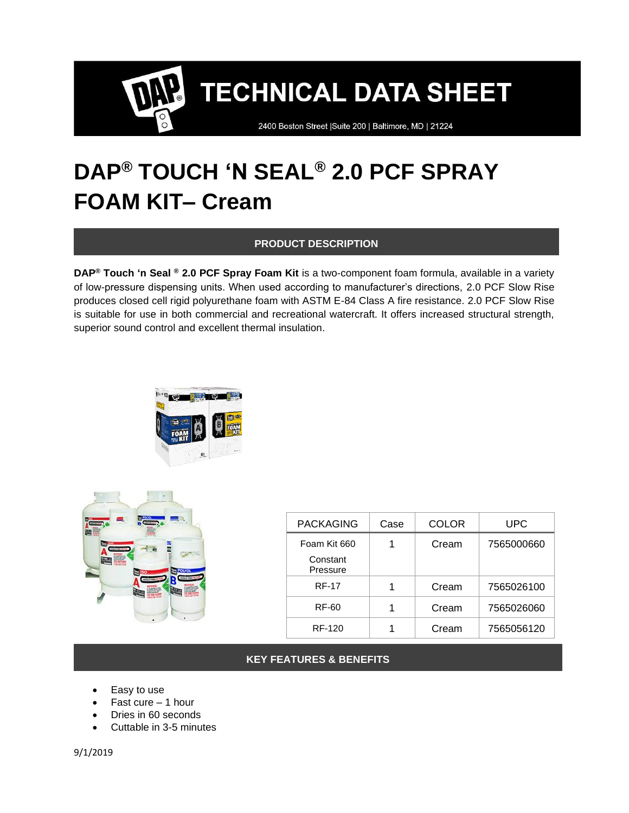2400 Boston Street | Suite 200 | Baltimore, MD | 21224

### **DAP® TOUCH 'N SEAL® 2.0 PCF SPRAY FOAM KIT– Cream**

#### **PRODUCT DESCRIPTION**

**DAP® Touch 'n Seal ® 2.0 PCF Spray Foam Kit** is a two-component foam formula, available in a variety of low-pressure dispensing units. When used according to manufacturer's directions, 2.0 PCF Slow Rise produces closed cell rigid polyurethane foam with ASTM E-84 Class A fire resistance. 2.0 PCF Slow Rise is suitable for use in both commercial and recreational watercraft. It offers increased structural strength, superior sound control and excellent thermal insulation.





| <b>PACKAGING</b>     | Case | COLOR | UPC        |
|----------------------|------|-------|------------|
| Foam Kit 660         |      | Cream | 7565000660 |
| Constant<br>Pressure |      |       |            |
| <b>RF-17</b>         |      | Cream | 7565026100 |
| RF-60                |      | Cream | 7565026060 |
| RF-120               |      | Cream | 7565056120 |

#### **KEY FEATURES & BENEFITS**

- Easy to use
- Fast cure  $-1$  hour
- Dries in 60 seconds
- Cuttable in 3-5 minutes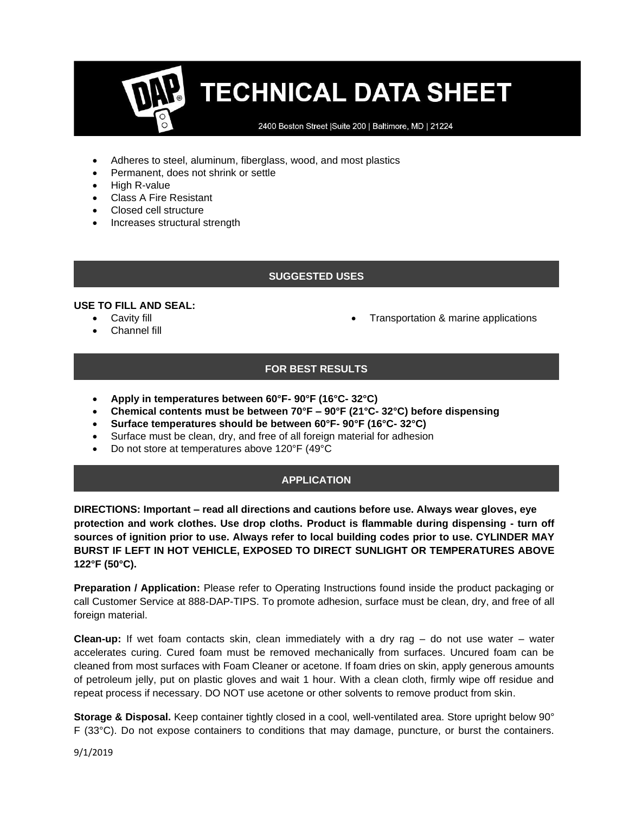2400 Boston Street | Suite 200 | Baltimore, MD | 21224

- Adheres to steel, aluminum, fiberglass, wood, and most plastics
- Permanent, does not shrink or settle
- High R-value
- Class A Fire Resistant
- Closed cell structure
- Increases structural strength

#### **SUGGESTED USES**

#### **USE TO FILL AND SEAL:**

- Cavity fill
- Channel fill

• Transportation & marine applications

#### **FOR BEST RESULTS**

- **Apply in temperatures between 60°F- 90°F (16°C- 32°C)**
- **Chemical contents must be between 70°F – 90°F (21°C- 32°C) before dispensing**
- **Surface temperatures should be between 60°F- 90°F (16°C- 32°C)**
- Surface must be clean, dry, and free of all foreign material for adhesion
- Do not store at temperatures above 120°F (49°C

#### **APPLICATION**

**DIRECTIONS: Important – read all directions and cautions before use. Always wear gloves, eye protection and work clothes. Use drop cloths. Product is flammable during dispensing - turn off sources of ignition prior to use. Always refer to local building codes prior to use. CYLINDER MAY BURST IF LEFT IN HOT VEHICLE, EXPOSED TO DIRECT SUNLIGHT OR TEMPERATURES ABOVE 122°F (50°C).**

**Preparation / Application:** Please refer to Operating Instructions found inside the product packaging or call Customer Service at 888-DAP-TIPS. To promote adhesion, surface must be clean, dry, and free of all foreign material.

**Clean-up:** If wet foam contacts skin, clean immediately with a dry rag – do not use water – water accelerates curing. Cured foam must be removed mechanically from surfaces. Uncured foam can be cleaned from most surfaces with Foam Cleaner or acetone. If foam dries on skin, apply generous amounts of petroleum jelly, put on plastic gloves and wait 1 hour. With a clean cloth, firmly wipe off residue and repeat process if necessary. DO NOT use acetone or other solvents to remove product from skin.

**Storage & Disposal.** Keep container tightly closed in a cool, well-ventilated area. Store upright below 90° F (33°C). Do not expose containers to conditions that may damage, puncture, or burst the containers.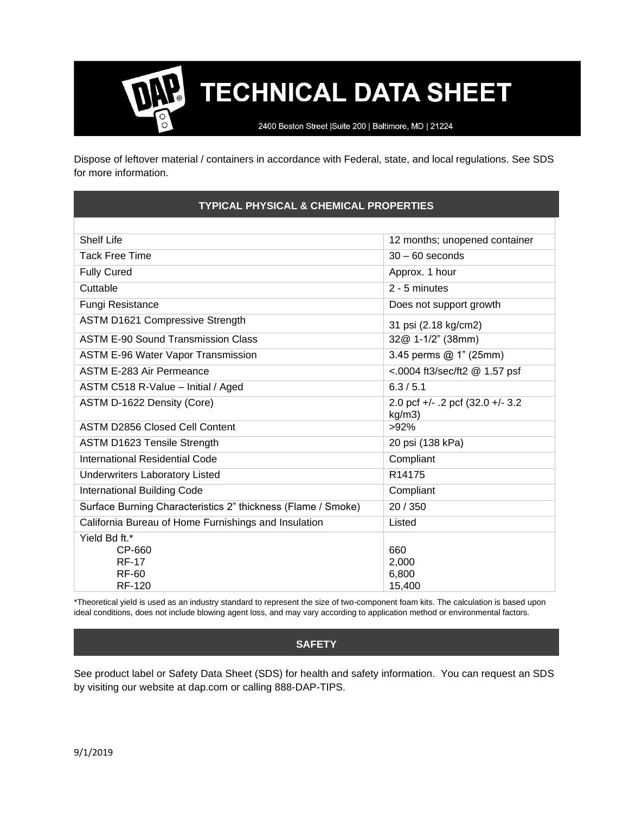2400 Boston Street | Suite 200 | Baltimore, MD | 21224

Dispose of leftover material / containers in accordance with Federal, state, and local regulations. See SDS for more information.

#### **TYPICAL PHYSICAL & CHEMICAL PROPERTIES**

| <b>Shelf Life</b>                                            | 12 months; unopened container              |  |
|--------------------------------------------------------------|--------------------------------------------|--|
| <b>Tack Free Time</b>                                        | $30 - 60$ seconds                          |  |
| <b>Fully Cured</b>                                           | Approx. 1 hour                             |  |
| Cuttable                                                     | 2 - 5 minutes                              |  |
| Fungi Resistance                                             | Does not support growth                    |  |
| <b>ASTM D1621 Compressive Strength</b>                       | 31 psi (2.18 kg/cm2)                       |  |
| <b>ASTM E-90 Sound Transmission Class</b>                    | 32@ 1-1/2" (38mm)                          |  |
| <b>ASTM E-96 Water Vapor Transmission</b>                    | 3.45 perms @ 1" (25mm)                     |  |
| ASTM E-283 Air Permeance                                     | <.0004 ft3/sec/ft2 @ 1.57 psf              |  |
| ASTM C518 R-Value - Initial / Aged                           | 6.3 / 5.1                                  |  |
| ASTM D-1622 Density (Core)                                   | 2.0 pcf +/- .2 pcf (32.0 +/- 3.2<br>kg/m3) |  |
| <b>ASTM D2856 Closed Cell Content</b>                        | $>92\%$                                    |  |
| ASTM D1623 Tensile Strength                                  | 20 psi (138 kPa)                           |  |
| International Residential Code                               | Compliant                                  |  |
| <b>Underwriters Laboratory Listed</b>                        | R14175                                     |  |
| International Building Code                                  | Compliant                                  |  |
| Surface Burning Characteristics 2" thickness (Flame / Smoke) | 20 / 350                                   |  |
| California Bureau of Home Furnishings and Insulation         | Listed                                     |  |
| Yield Bd ft.*                                                |                                            |  |
| CP-660                                                       | 660                                        |  |
| <b>RF-17</b>                                                 | 2,000                                      |  |
| RF-60                                                        | 6,800                                      |  |
| <b>RF-120</b>                                                | 15,400                                     |  |

\*Theoretical yield is used as an industry standard to represent the size of two-component foam kits. The calculation is based upon ideal conditions, does not include blowing agent loss, and may vary according to application method or environmental factors.

#### **SAFETY**

See product label or Safety Data Sheet (SDS) for health and safety information. You can request an SDS by visiting our website at dap.com or calling 888-DAP-TIPS.